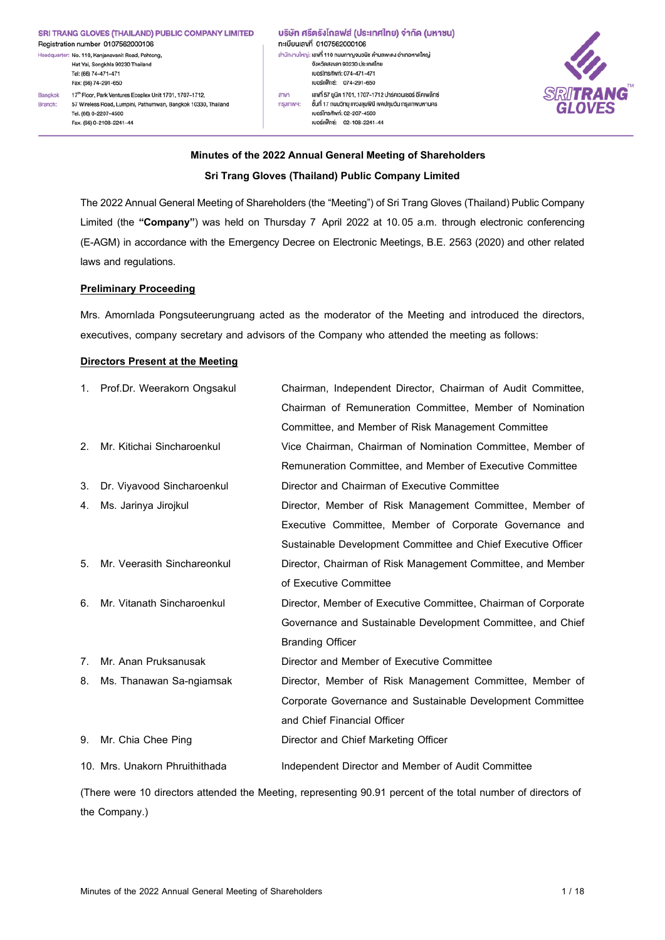#### SRI TRANG GLOVES (THAILAND) PUBLIC COMPANY LIMITED Registration number 0107562000106

Headquarter: No. 110. Kanjanayanit Road, Pahtong, Hat Yai, Songkhla 90230 Thailand Tel: (66) 74-471-471 Fax: (66) 74-291-650 17th Floor, Park Ventures Ecoplex Unit 1701, 1707-1712, Bangkok

57 Wireless Road, Lumpini, Pathumwan, Bangkok 10330, Thailand Branch: Tel. (66) 0-2207-4500 Fax. (66) 0-2108-2241-44

้บริษัท ศรีตรังโกลฟส์ (ประเทศไทย) จำกัด (มหาชน) nะเบียนเลงที่ 0107562000106 สำนักงานใหญ่: เลงที่ 110 ถนนกาญจนวนิช คำบลพะคง อำเภอหาคใหญ่ จังหวัดสงขลา 90230 ประเทศไทย IUOSInsŕiwn: 074-471-471 เบอร์แฟ็กซ์: 074-291-650 เลงที่ 57 ยูนิต 1701, 1707-1712 ปาร์คเวนเชอร์ อีโคเพล็กซ์  $anv<sub>1</sub>$ ชั้นที่ 17 ถนนอิทยุ แงวงลุมพินี เงคปทุมอัน กรุงเทพมหานคร nşunw9: ruos Insitwn: 02-207-4500 เบอร์แฟ็กซ์: 02-108-2241-44



# **Minutes of the 2022 Annual General Meeting of Shareholders Sri Trang Gloves (Thailand) Public Company Limited**

The 2022 Annual General Meeting of Shareholders (the "Meeting") of Sri Trang Gloves (Thailand) Public Company Limited (the **"Company"**) was held on Thursday 7 April 2022 at 10.05 a.m. through electronic conferencing (E-AGM) in accordance with the Emergency Decree on Electronic Meetings, B.E. 2563 (2020) and other related laws and regulations.

## **Preliminary Proceeding**

Mrs. Amornlada Pongsuteerungruang acted as the moderator of the Meeting and introduced the directors, executives, company secretary and advisors of the Company who attended the meeting as follows:

### **Directors Present at the Meeting**

| 1.             | Prof.Dr. Weerakorn Ongsakul    | Chairman, Independent Director, Chairman of Audit Committee,   |
|----------------|--------------------------------|----------------------------------------------------------------|
|                |                                | Chairman of Remuneration Committee, Member of Nomination       |
|                |                                | Committee, and Member of Risk Management Committee             |
| 2 <sub>1</sub> | Mr. Kitichai Sincharoenkul     | Vice Chairman, Chairman of Nomination Committee, Member of     |
|                |                                | Remuneration Committee, and Member of Executive Committee      |
| 3.             | Dr. Viyavood Sincharoenkul     | Director and Chairman of Executive Committee                   |
| 4.             | Ms. Jarinya Jirojkul           | Director, Member of Risk Management Committee, Member of       |
|                |                                | Executive Committee, Member of Corporate Governance and        |
|                |                                | Sustainable Development Committee and Chief Executive Officer  |
| 5.             | Mr. Veerasith Sinchareonkul    | Director, Chairman of Risk Management Committee, and Member    |
|                |                                | of Executive Committee                                         |
| 6.             | Mr. Vitanath Sincharoenkul     | Director, Member of Executive Committee, Chairman of Corporate |
|                |                                | Governance and Sustainable Development Committee, and Chief    |
|                |                                | <b>Branding Officer</b>                                        |
| $7_{\cdot}$    | Mr. Anan Pruksanusak           | Director and Member of Executive Committee                     |
| 8.             | Ms. Thanawan Sa-ngiamsak       | Director, Member of Risk Management Committee, Member of       |
|                |                                | Corporate Governance and Sustainable Development Committee     |
|                |                                | and Chief Financial Officer                                    |
| 9.             | Mr. Chia Chee Ping             | Director and Chief Marketing Officer                           |
|                | 10. Mrs. Unakorn Phruithithada | Independent Director and Member of Audit Committee             |
|                |                                |                                                                |

(There were 10 directors attended the Meeting, representing 90.91 percent of the total number of directors of the Company.)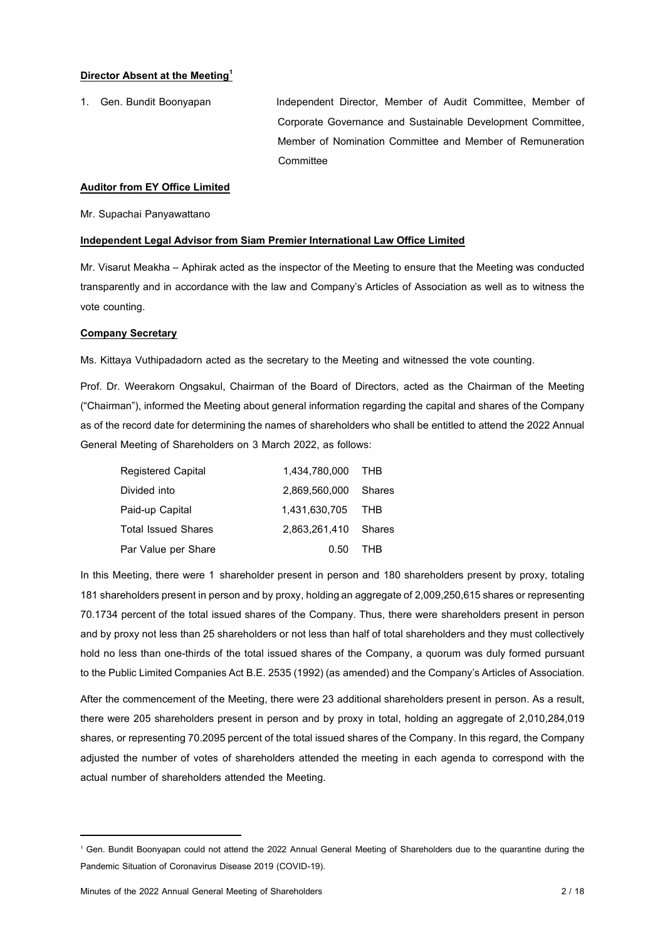#### **Director Absent at the Meeting<sup>1</sup>**

1. Gen. Bundit Boonyapan Independent Director, Member of Audit Committee, Member of Corporate Governance and Sustainable Development Committee, Member of Nomination Committee and Member of Remuneration **Committee** 

#### **Auditor from EY Office Limited**

Mr. Supachai Panyawattano

#### **Independent Legal Advisor from Siam Premier International Law Office Limited**

Mr. Visarut Meakha – Aphirak acted as the inspector of the Meeting to ensure that the Meeting was conducted transparently and in accordance with the law and Company's Articles of Association as well as to witness the vote counting.

#### **Company Secretary**

Ms. Kittaya Vuthipadadorn acted as the secretary to the Meeting and witnessed the vote counting.

Prof. Dr. Weerakorn Ongsakul, Chairman of the Board of Directors, acted as the Chairman of the Meeting ("Chairman"), informed the Meeting about general informationregarding the capital and shares of the Company as of the record date for determining the names of shareholders who shall be entitled to attend the 2022 Annual General Meeting of Shareholders on 3 March 2022, as follows:

| <b>Registered Capital</b>  | 1.434.780.000 | THB        |
|----------------------------|---------------|------------|
| Divided into               | 2.869.560.000 | Shares     |
| Paid-up Capital            | 1,431,630,705 | THB        |
| <b>Total Issued Shares</b> | 2.863.261.410 | Shares     |
| Par Value per Share        | 0.50          | <b>THR</b> |

In this Meeting, there were 1 shareholder present in person and 180 shareholders present by proxy, totaling 181 shareholders present in person and by proxy, holding an aggregate of 2,009,250,615 shares or representing 70.1734 percent of the total issued shares of the Company. Thus, there were shareholders present in person and by proxy not less than 25 shareholders or not less than half of total shareholders and they must collectively hold no less than one-thirds of the total issued shares of the Company, a quorum was duly formed pursuant to the Public Limited Companies Act B.E. 2535 (1992) (as amended) and the Company's Articles of Association.

After the commencement of the Meeting, there were 23 additional shareholders present in person. As a result, there were 205 shareholders present in person and by proxy in total, holding an aggregate of 2,010,284,019 shares, or representing 70.2095 percent of the total issued shares of the Company. In this regard, the Company adjusted the number of votes of shareholders attended the meeting in each agenda to correspond with the actual number of shareholders attended the Meeting.

<sup>1</sup> Gen. Bundit Boonyapan could not attend the 2022 Annual General Meeting of Shareholders due to the quarantine during the Pandemic Situation of Coronavirus Disease 2019 (COVID-19).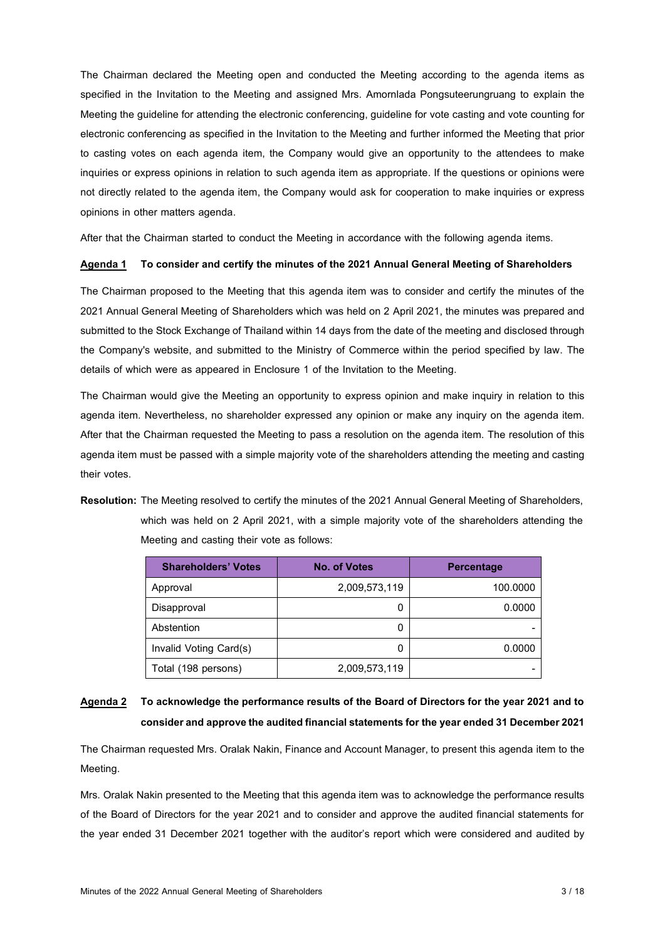The Chairman declared the Meeting open and conducted the Meeting according to the agenda items as specified in the Invitation to the Meeting and assigned Mrs. Amornlada Pongsuteerungruang to explain the Meeting the guideline for attending the electronic conferencing, guideline for vote casting and vote counting for electronic conferencing as specified in the Invitation to the Meeting and further informed the Meeting that prior to casting votes on each agenda item, the Company would give an opportunity to the attendees to make inquiries or express opinions in relation to such agenda item as appropriate. If the questions or opinions were not directly related to the agenda item, the Company would ask for cooperation to make inquiries or express opinions in other matters agenda.

After that the Chairman started to conduct the Meeting in accordance with the following agenda items.

### **Agenda 1 To consider and certify the minutes of the 2021 Annual General Meeting of Shareholders**

The Chairman proposed to the Meeting that this agenda item was to consider and certify the minutes of the 2021 Annual General Meeting of Shareholders which was held on 2 April 2021, the minutes was prepared and submitted to the Stock Exchange of Thailand within 14 days from the date of the meeting and disclosed through the Company's website, and submitted to the Ministry of Commerce within the period specified by law. The details of which were as appeared in Enclosure 1 of the Invitation to the Meeting.

The Chairman would give the Meeting an opportunity to express opinion and make inquiry in relation to this agenda item. Nevertheless, no shareholder expressed any opinion or make any inquiry on the agenda item. After that the Chairman requested the Meeting to pass a resolution on the agenda item. The resolution of this agenda item must be passed with a simple majority vote of the shareholders attending the meeting and casting their votes.

**Resolution:** The Meeting resolved to certify the minutes of the 2021 Annual General Meeting of Shareholders, which was held on 2 April 2021, with a simple majority vote of the shareholders attending the Meeting and casting their vote as follows:

| <b>Shareholders' Votes</b> | <b>No. of Votes</b> | <b>Percentage</b> |
|----------------------------|---------------------|-------------------|
| Approval                   | 2,009,573,119       | 100.0000          |
| Disapproval                | 0                   | 0.0000            |
| Abstention                 | 0                   |                   |
| Invalid Voting Card(s)     | 0                   | 0.0000            |
| Total (198 persons)        | 2,009,573,119       |                   |

## **Agenda 2 To acknowledge the performance results of the Board of Directors for the year 2021 and to consider and approve the audited financial statements for the year ended 31 December 2021**

The Chairman requested Mrs. Oralak Nakin, Finance and Account Manager, to present this agenda item to the Meeting.

Mrs. Oralak Nakin presented to the Meeting that this agenda item was to acknowledge the performance results of the Board of Directors for the year 2021 and to consider and approve the audited financial statements for the year ended 31 December 2021 together with the auditor's report which were considered and audited by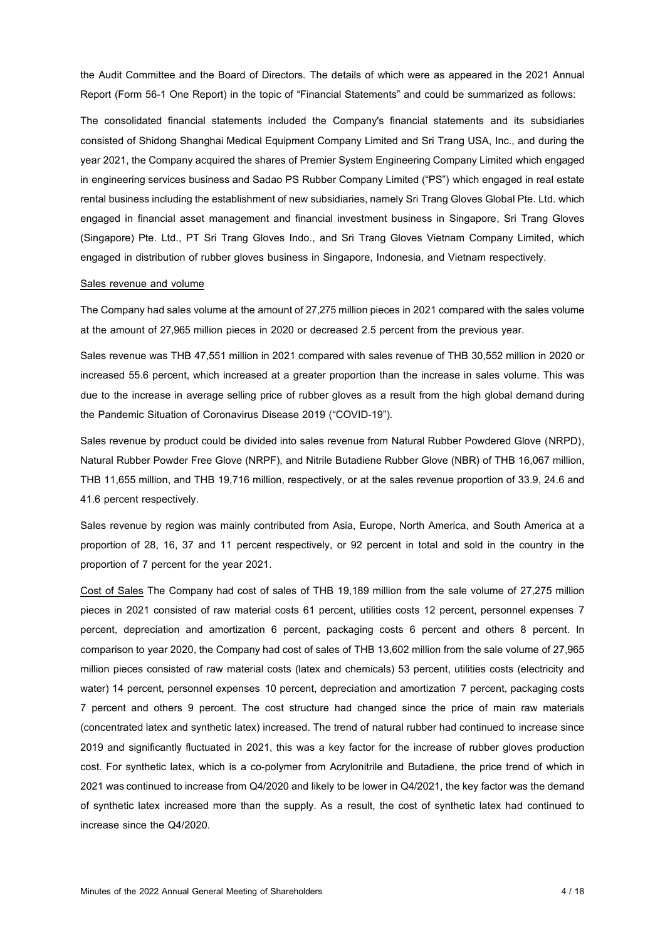the Audit Committee and the Board of Directors. The details of which were as appeared in the 2021 Annual Report (Form 56-1 One Report) in the topic of "Financial Statements" and could be summarized as follows:

The consolidated financial statements included the Company's financial statements and its subsidiaries consisted of Shidong Shanghai Medical Equipment Company Limited and Sri Trang USA, Inc., and during the year 2021, the Company acquired the shares of Premier System Engineering Company Limited which engaged in engineering services business and Sadao PS Rubber Company Limited ("PS") which engaged in real estate rental business including the establishment of new subsidiaries, namely Sri Trang Gloves Global Pte. Ltd. which engaged in financial asset management and financial investment business in Singapore, Sri Trang Gloves (Singapore) Pte. Ltd., PT Sri Trang Gloves Indo., and Sri Trang Gloves Vietnam Company Limited, which engaged in distribution of rubber gloves business in Singapore, Indonesia, and Vietnam respectively.

#### Sales revenue and volume

The Company had sales volume at the amount of 27,275 million pieces in 2021 compared with the sales volume at the amount of 27,965 million pieces in 2020 or decreased 2.5 percent from the previous year.

Sales revenue was THB 47,551 million in 2021 compared with sales revenue of THB 30,552 million in 2020 or increased 55.6 percent, which increased at a greater proportion than the increase in sales volume. This was due to the increase in average selling price of rubber gloves as a result from the high global demand during the Pandemic Situation of Coronavirus Disease 2019 ("COVID-19").

Sales revenue by product could be divided into sales revenue from Natural Rubber Powdered Glove (NRPD), Natural Rubber Powder Free Glove (NRPF), and Nitrile Butadiene Rubber Glove (NBR) of THB 16,067 million, THB 11,655 million, and THB 19,716 million, respectively, or at the sales revenue proportion of 33.9, 24.6 and 41.6 percent respectively.

Sales revenue by region was mainly contributed from Asia, Europe, North America, and South America at a proportion of 28, 16, 37 and 11 percent respectively, or 92 percent in total and sold in the country in the proportion of 7 percent for the year 2021.

Cost of Sales The Company had cost of sales of THB 19,189 million from the sale volume of 27,275 million pieces in 2021 consisted of raw material costs 61 percent, utilities costs 12 percent, personnel expenses 7 percent, depreciation and amortization 6 percent, packaging costs 6 percent and others 8 percent. In comparison to year 2020, the Company had cost of sales of THB 13,602 million from the sale volume of 27,965 million pieces consisted of raw material costs (latex and chemicals) 53 percent, utilities costs (electricity and water) 14 percent, personnel expenses 10 percent, depreciation and amortization 7 percent, packaging costs 7 percent and others 9 percent. The cost structure had changed since the price of main raw materials (concentrated latex and synthetic latex) increased. The trend of natural rubber had continued to increase since 2019 and significantly fluctuated in 2021, this was a key factor for the increase of rubber gloves production cost. For synthetic latex, which is a co-polymer from Acrylonitrile and Butadiene, the price trend of which in 2021 was continued to increase from Q4/2020 and likely to be lower in Q4/2021, the key factor was the demand of synthetic latex increased more than the supply. As a result, the cost of synthetic latex had continued to increase since the Q4/2020.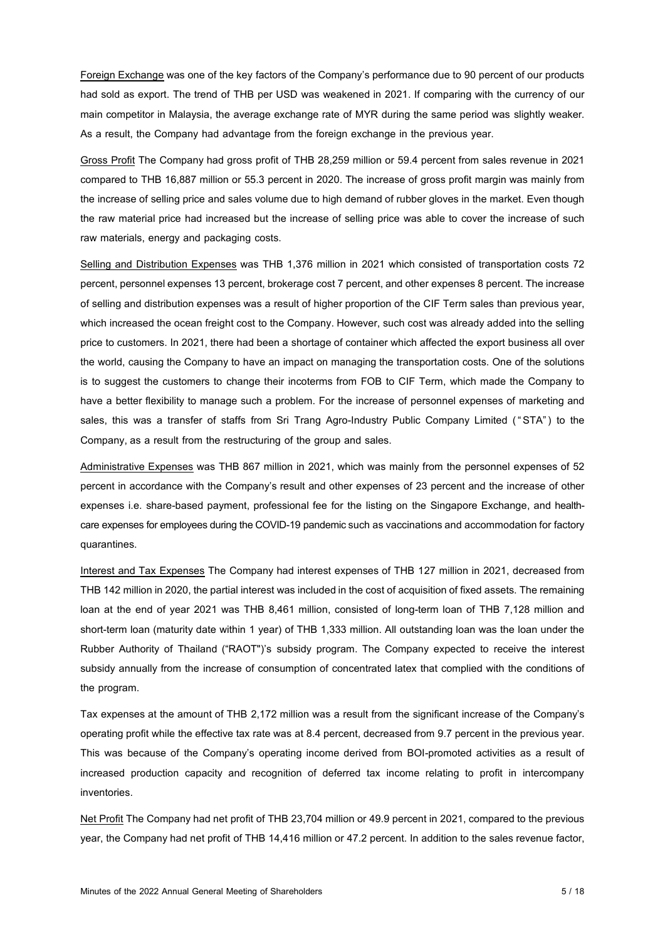Foreign Exchange was one of the key factors of the Company's performance due to 90 percent of our products had sold as export. The trend of THB per USD was weakened in 2021. If comparing with the currency of our main competitor in Malaysia, the average exchange rate of MYR during the same period was slightly weaker. As a result, the Company had advantage from the foreign exchange in the previous year.

Gross Profit The Company had gross profit of THB 28,259 million or 59.4 percent from sales revenue in 2021 compared to THB 16,887 million or 55.3 percent in 2020. The increase of gross profit margin was mainly from the increase of selling price and sales volume due to high demand of rubber gloves in the market. Even though the raw material price had increased but the increase of selling price was able to cover the increase of such raw materials, energy and packaging costs.

Selling and Distribution Expenses was THB 1,376 million in 2021 which consisted of transportation costs 72 percent, personnel expenses 13 percent, brokerage cost 7 percent, and other expenses 8 percent. The increase of selling and distribution expenses was a result of higher proportion of the CIF Term sales than previous year, which increased the ocean freight cost to the Company. However, such cost was already added into the selling price to customers. In 2021, there had been a shortage of container which affected the export business all over the world, causing the Company to have an impact on managing the transportation costs. One of the solutions is to suggest the customers to change their incoterms from FOB to CIF Term, which made the Company to have a better flexibility to manage such a problem. For the increase of personnel expenses of marketing and sales, this was a transfer of staffs from Sri Trang Agro-Industry Public Company Limited ("STA") to the Company, as a result from the restructuring of the group and sales.

Administrative Expenses was THB 867 million in 2021, which was mainly from the personnel expenses of 52 percent in accordance with the Company's result and other expenses of 23 percent and the increase of other expenses i.e. share-based payment, professional fee for the listing on the Singapore Exchange, and healthcare expenses for employees during the COVID-19 pandemic such as vaccinations and accommodation for factory quarantines.

Interest and Tax Expenses The Company had interest expenses of THB 127 million in 2021, decreased from THB 142 million in 2020, the partial interest was included in the cost of acquisition of fixed assets. The remaining loan at the end of year 2021 was THB 8,461 million, consisted of long-term loan of THB 7,128 million and short-term loan (maturity date within 1 year) of THB 1,333 million. All outstanding loan was the loan under the Rubber Authority of Thailand ("RAOT")'s subsidy program. The Company expected to receive the interest subsidy annually from the increase of consumption of concentrated latex that complied with the conditions of the program.

Tax expenses at the amount of THB 2,172 million was a result from the significant increase of the Company's operating profit while the effective tax rate was at 8.4 percent, decreased from 9.7 percent in the previous year. This was because of the Company's operating income derived from BOI-promoted activities as a result of increased production capacity and recognition of deferred tax income relating to profit in intercompany inventories.

Net Profit The Company had net profit of THB 23.704 million or 49.9 percent in 2021, compared to the previous year, the Company had net profit of THB 14,416 million or 47.2 percent. In addition to the sales revenue factor,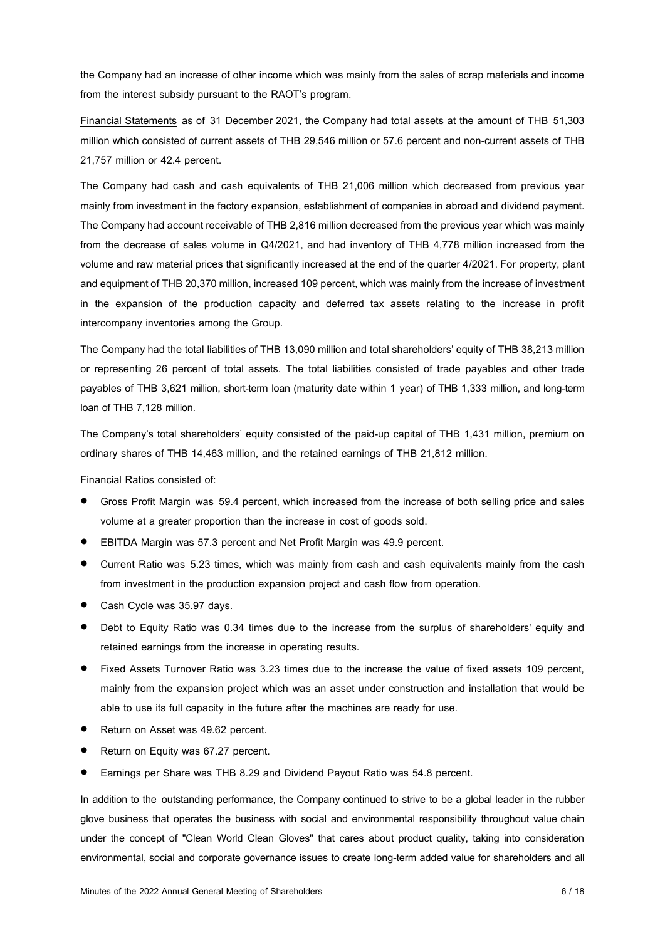the Company had an increase of other income which was mainly from the sales of scrap materials and income from the interest subsidy pursuant to the RAOT's program.

Financial Statements as of 31 December 2021, the Company had total assets at the amount of THB 51,303 million which consisted of current assets of THB 29,546 million or 57.6 percent and non-current assets of THB 21,757 million or 42.4 percent.

The Company had cash and cash equivalents of THB 21,006 million which decreased from previous year mainly from investment in the factory expansion, establishment of companies in abroad and dividend payment. The Company had account receivable of THB 2,816 million decreased from the previous year which was mainly from the decrease of sales volume in Q4/2021, and had inventory of THB 4,778 million increased from the volume and raw material prices that significantly increased at the end of the quarter 4/2021. For property, plant and equipment of THB 20,370 million, increased 109 percent, which was mainly from the increase of investment in the expansion of the production capacity and deferred tax assets relating to the increase in profit intercompany inventories among the Group.

The Company had the total liabilities of THB 13,090 million and total shareholders' equity ofTHB 38,213 million or representing 26 percent of total assets. The total liabilities consisted of trade payables and other trade payables of THB 3,621 million, short-term loan (maturity date within 1 year) of THB 1,333 million, and long-term loan of THB 7,128 million.

The Company's total shareholders' equity consisted of the paid-up capital of THB 1,431 million, premium on ordinary shares of THB 14,463 million, and the retained earnings of THB 21,812 million.

Financial Ratios consisted of:

- Gross Profit Margin was 59.4 percent, which increased from the increase of both selling price and sales volume at a greater proportion than the increase in cost of goods sold.
- EBITDA Margin was 57.3 percent and Net Profit Margin was 49.9 percent.
- Current Ratio was 5.23 times, which was mainly from cash and cash equivalents mainly from the cash from investment in the production expansion project and cash flow from operation.
- Cash Cycle was 35.97 days.
- Debt to Equity Ratio was 0.34 times due to the increase from the surplus of shareholders' equity and retained earnings from the increase in operating results.
- Fixed Assets Turnover Ratio was 3.23 times due to the increase the value of fixed assets 109 percent, mainly from the expansion project which was an asset under construction and installation that would be able to use its full capacity in the future after the machines are ready for use.
- Return on Asset was 49.62 percent.
- Return on Equity was 67.27 percent.
- Earnings per Share was THB 8.29 and Dividend Payout Ratio was 54.8 percent.

In addition to the outstanding performance, the Company continued to strive to be a global leader in the rubber glove business that operates the business with social and environmental responsibility throughout value chain under the concept of "Clean World Clean Gloves" that cares about product quality, taking into consideration environmental, social and corporate governance issues to create long-term added value for shareholders and all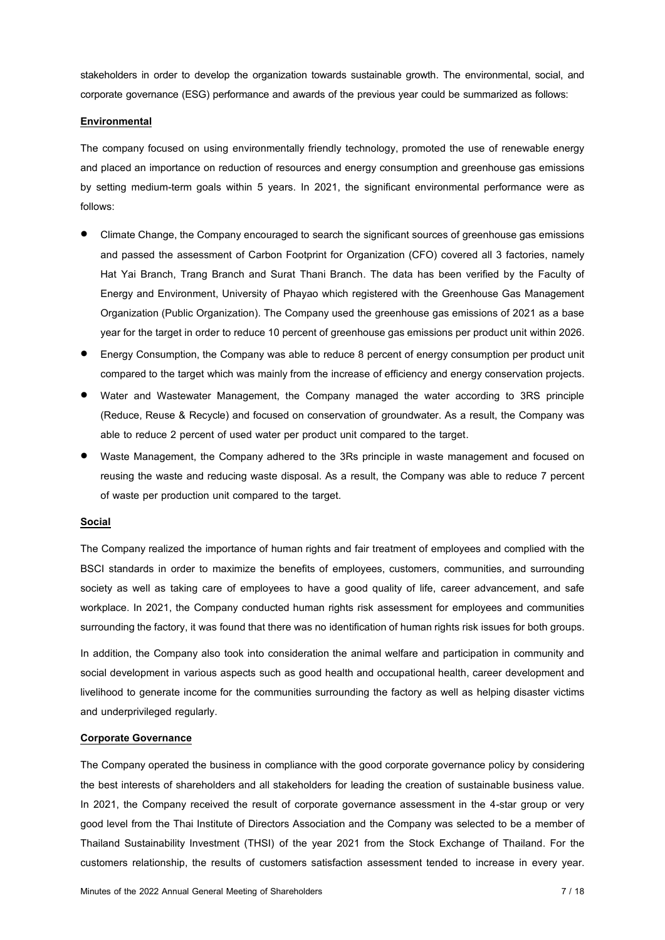stakeholders in order to develop the organization towards sustainable growth. The environmental, social, and corporate governance (ESG) performance and awards of the previous year could be summarized as follows:

### **Environmental**

The company focused on using environmentally friendly technology, promoted the use of renewable energy and placed an importance on reduction of resources and energy consumption and greenhouse gas emissions by setting medium-term goals within 5 years. In 2021, the significant environmental performance were as follows:

- Climate Change, the Company encouraged to search the significant sources of greenhouse gas emissions and passed the assessment of Carbon Footprint for Organization (CFO) covered all 3 factories, namely Hat Yai Branch, Trang Branch and Surat Thani Branch. The data has been verified by the Faculty of Energy and Environment, University of Phayao which registered with the Greenhouse Gas Management Organization (Public Organization).The Company used the greenhouse gas emissions of 2021 as a base year for the target in order to reduce 10 percent of greenhouse gas emissions per product unit within 2026.
- Energy Consumption, the Company was able to reduce 8 percent of energy consumption per product unit compared to the target which was mainly from the increase of efficiency and energy conservation projects.
- Water and Wastewater Management, the Company managed the water according to 3RS principle (Reduce, Reuse & Recycle) and focused on conservation of groundwater. As a result, the Company was able to reduce 2 percent of used water per product unit compared to the target.
- Waste Management, the Company adhered to the 3Rs principle in waste management and focused on reusing the waste and reducing waste disposal. As a result, the Company was able to reduce 7 percent of waste per production unit compared to the target.

#### **Social**

The Company realized the importance of human rights and fair treatment of employees and complied with the BSCI standards in order to maximize the benefits of employees, customers, communities, and surrounding society as well as taking care of employees to have a good quality of life, career advancement, and safe workplace. In 2021, the Company conducted human rights risk assessment for employees and communities surrounding the factory, it was found that there was no identification of human rights risk issues for both groups.

In addition, the Company also took into consideration the animal welfare and participation in community and social development in various aspects such as good health and occupational health, career development and livelihood to generate income for the communities surrounding the factory as well as helping disaster victims and underprivileged regularly.

### **Corporate Governance**

The Company operated the business in compliance with the good corporate governance policy by considering the best interests of shareholders and all stakeholders for leading the creation of sustainable business value. In 2021, the Company received the result of corporate governance assessment in the 4-star group or very good level from the Thai Institute of Directors Association and the Company was selected to be a member of Thailand Sustainability Investment (THSI) of the year 2021 from the Stock Exchange of Thailand. For the customers relationship, the results of customers satisfaction assessment tended to increase in every year.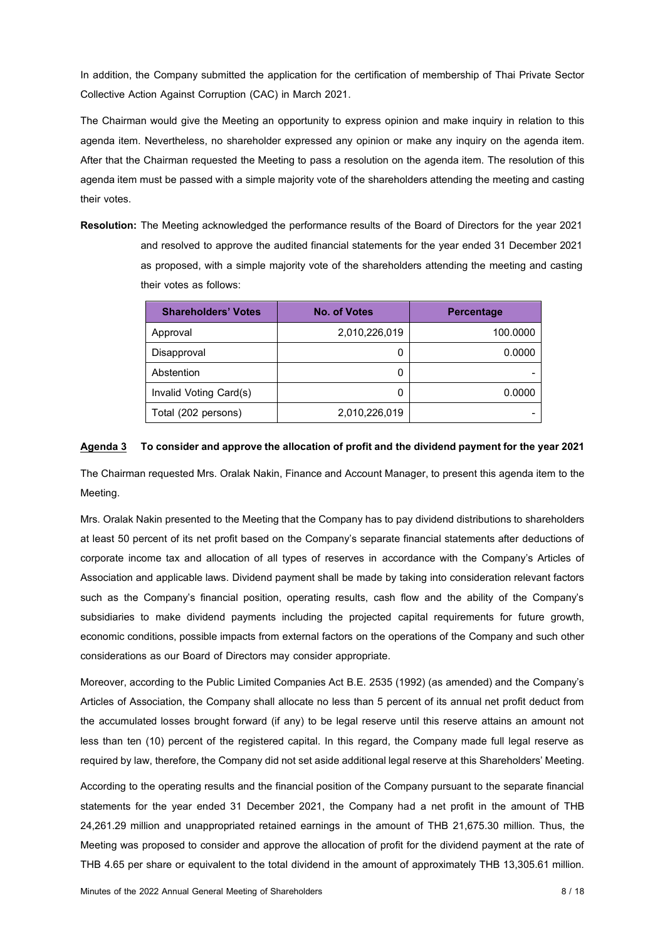In addition, the Company submitted the application for the certification of membership of Thai Private Sector Collective Action Against Corruption (CAC) in March 2021.

The Chairman would give the Meeting an opportunity to express opinion and make inquiry in relation to this agenda item. Nevertheless, no shareholder expressed any opinion or make any inquiry on the agenda item. After that the Chairman requested the Meeting to pass a resolution on the agenda item. The resolution of this agenda item must be passed with a simple majority vote of the shareholders attending the meeting and casting their votes.

**Resolution:** The Meeting acknowledged the performance results of the Board of Directors for the year 2021 and resolved to approve the audited financial statements for the year ended 31 December 2021 as proposed, with a simple majority vote of the shareholders attending the meeting and casting their votes as follows:

| <b>Shareholders' Votes</b> | <b>No. of Votes</b> | <b>Percentage</b> |
|----------------------------|---------------------|-------------------|
| Approval                   | 2,010,226,019       | 100,0000          |
| Disapproval                | 0                   | 0.0000            |
| Abstention                 | 0                   |                   |
| Invalid Voting Card(s)     | 0                   | 0.0000            |
| Total (202 persons)        | 2,010,226,019       |                   |

### **Agenda 3 To consider and approve the allocation of profit and the dividend payment for the year 2021**

The Chairman requested Mrs. Oralak Nakin, Finance and Account Manager, to present this agenda item to the Meeting.

Mrs. Oralak Nakin presented to the Meeting that the Company has to pay dividend distributions to shareholders at least 50 percent of its net profit based on the Company's separate financial statements after deductions of corporate income tax and allocation of all types of reserves in accordance with the Company's Articles of Association and applicable laws. Dividend payment shall be made by taking into consideration relevant factors such as the Company's financial position, operating results, cash flow and the ability of the Company's subsidiaries to make dividend payments including the projected capital requirements for future growth, economic conditions, possible impacts from external factors on the operations of the Company and such other considerations as our Board of Directors may consider appropriate.

Moreover, according to the Public Limited Companies Act B.E. 2535 (1992) (as amended) and the Company's Articles of Association, the Company shall allocate no less than 5 percent of its annual net profit deduct from the accumulated losses brought forward (if any) to be legal reserve until this reserve attains an amount not less than ten (10) percent of the registered capital. In this regard, the Company made full legal reserve as required by law, therefore, the Company did not set aside additional legal reserve at this Shareholders' Meeting.

According to the operating results and the financial position of the Company pursuant to the separate financial statements for the year ended 31 December 2021, the Company had a net profit in the amount of THB 24,261.29 million and unappropriated retained earnings in the amount of THB 21,675.30 million. Thus, the Meeting was proposed to consider and approve the allocation of profit for the dividend payment at the rate of THB 4.65 per share or equivalent to the total dividend in the amount of approximately THB 13,305.61 million.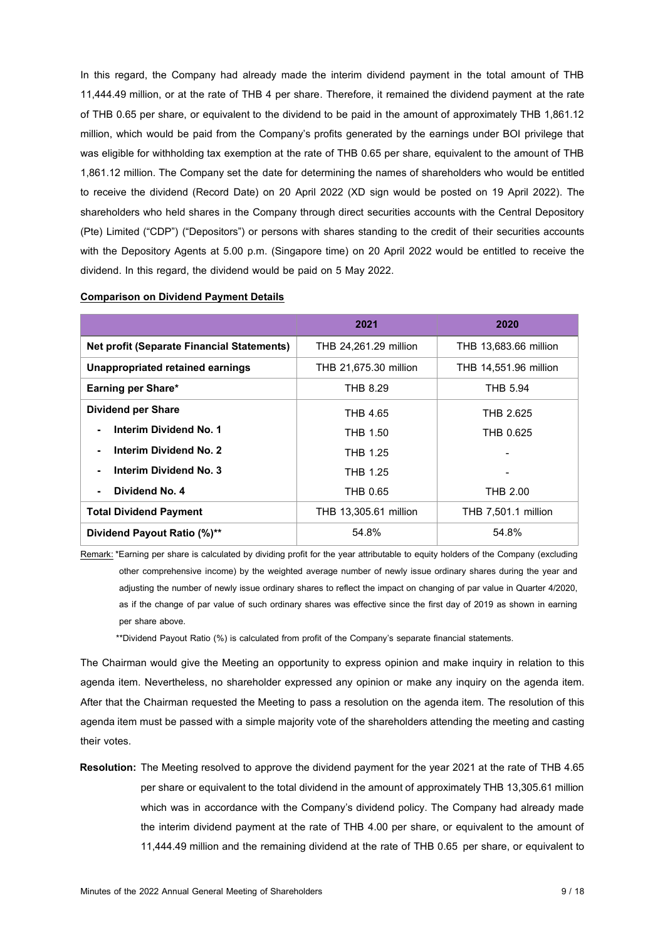In this regard, the Company had already made the interim dividend payment in the total amount of THB 11,444.49 million, or at the rate of THB 4 per share. Therefore, it remained the dividend payment at the rate of THB 0.65 per share, or equivalent to the dividend to be paid in the amount of approximately THB 1,861.12 million, which would be paid from the Company's profits generated by the earnings under BOI privilege that was eligible for withholding tax exemption at the rate of THB 0.65 per share, equivalent to the amount of THB 1,861.12 million. The Company set the date for determining the names of shareholders who would be entitled to receive the dividend (Record Date) on 20 April 2022 (XD sign would be posted on 19 April 2022). The shareholders who held shares in the Company through direct securities accounts with the Central Depository (Pte) Limited ("CDP") ("Depositors") or persons with shares standing to the credit of their securities accounts with the Depository Agents at 5.00 p.m. (Singapore time) on 20 April 2022 would be entitled to receive the dividend. In this regard, the dividend would be paid on 5 May 2022.

|                                                   | 2021                  | 2020                       |
|---------------------------------------------------|-----------------------|----------------------------|
| <b>Net profit (Separate Financial Statements)</b> | THB 24,261.29 million | THB 13,683.66 million      |
| Unappropriated retained earnings                  | THB 21,675.30 million | THB 14,551.96 million      |
| Earning per Share*                                | <b>THB 8.29</b>       | <b>THB 5.94</b>            |
| <b>Dividend per Share</b>                         | THB 4.65              | THB 2.625                  |
| Interim Dividend No. 1                            | THB 1.50              | THB 0.625                  |
| Interim Dividend No. 2                            | THB 1.25              |                            |
| Interim Dividend No. 3                            | THB 1.25              |                            |
| Dividend No. 4                                    | THB 0.65              | THB 2.00                   |
| <b>Total Dividend Payment</b>                     | THB 13,305.61 million | <b>THB 7,501.1 million</b> |
| Dividend Payout Ratio (%)**                       | 54.8%                 | 54.8%                      |

#### **Comparison on Dividend Payment Details**

Remark: \*Earning per share is calculated by dividing profit for the year attributable to equity holders of the Company (excluding other comprehensive income) by the weighted average number of newly issue ordinary shares during the year and adjusting the number of newly issue ordinary shares to reflect the impact on changing of par value in Quarter 4/2020, as if the change of par value of such ordinary shares was effective since the first day of 2019 as shown in earning per share above.

\*\*Dividend Payout Ratio (%) is calculated from profit of the Company's separate financial statements.

The Chairman would give the Meeting an opportunity to express opinion and make inquiry in relation to this agenda item. Nevertheless, no shareholder expressed any opinion or make any inquiry on the agenda item. After that the Chairman requested the Meeting to pass a resolution on the agenda item. The resolution of this agenda item must be passed with a simple majority vote of the shareholders attending the meeting and casting their votes.

**Resolution:** The Meeting resolved to approve the dividend payment for the year 2021 at the rate of THB 4.65 per share or equivalent to the total dividend in the amount of approximately THB 13,305.61 million which was in accordance with the Company's dividend policy. The Company had already made the interim dividend payment at the rate of THB 4.00 per share, or equivalent to the amount of 11,444.49 million and the remaining dividend at the rate of THB 0.65 per share, or equivalent to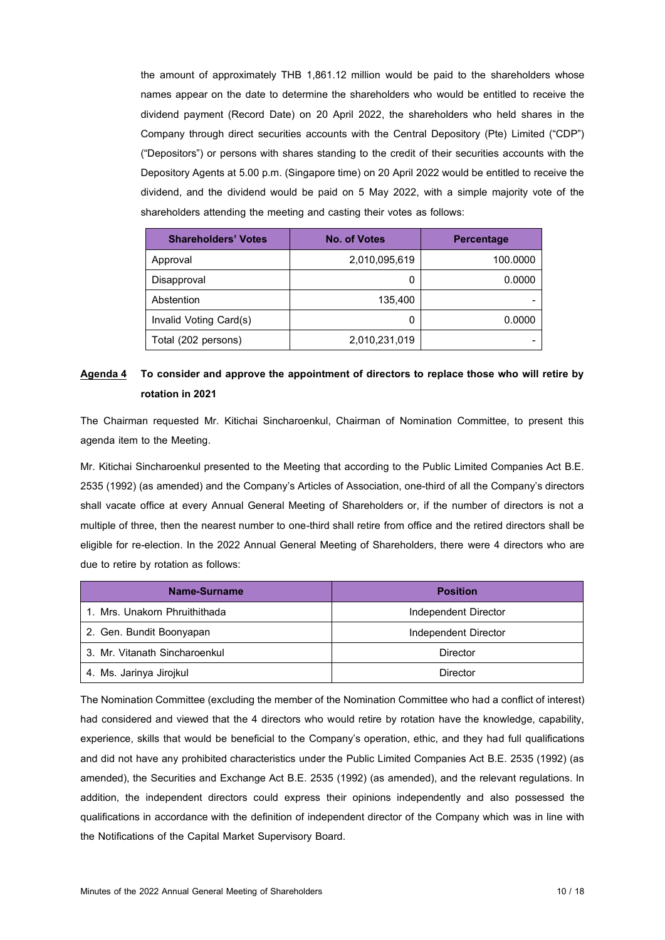the amount of approximately THB 1,861.12 million would be paid to the shareholders whose names appear on the date to determine the shareholders who would be entitled to receive the dividend payment (Record Date) on 20 April 2022, the shareholders who held shares in the Company through direct securities accounts with the Central Depository (Pte) Limited ("CDP") ("Depositors") or persons with shares standing to the credit of their securities accounts with the Depository Agents at 5.00 p.m. (Singapore time) on 20 April 2022 would be entitled to receive the dividend, and the dividend would be paid on 5 May 2022, with a simple majority vote of the shareholders attending the meeting and casting their votes as follows:

| <b>Shareholders' Votes</b> | No. of Votes  | <b>Percentage</b> |
|----------------------------|---------------|-------------------|
| Approval                   | 2,010,095,619 | 100.0000          |
| Disapproval                | 0             | 0.0000            |
| Abstention                 | 135.400       |                   |
| Invalid Voting Card(s)     | 0             | 0.0000            |
| Total (202 persons)        | 2,010,231,019 |                   |

## **Agenda 4 To consider and approve the appointment of directors to replace those who will retire by rotation in2021**

The Chairman requested Mr. Kitichai Sincharoenkul, Chairman of Nomination Committee, to present this agenda item to the Meeting.

Mr. Kitichai Sincharoenkul presented to the Meeting that according to the Public Limited Companies Act B.E. 2535 (1992) (as amended) and the Company's Articles of Association, one-third of all the Company's directors shall vacate office at every Annual General Meeting of Shareholders or, if the number of directors is not a multiple of three, then the nearest number to one-third shall retire from office and the retired directors shall be eligible for re-election. In the 2022 Annual General Meeting of Shareholders, there were 4 directors who are due to retire by rotation as follows:

| Name-Surname                  | <b>Position</b>      |
|-------------------------------|----------------------|
| 1. Mrs. Unakorn Phruithithada | Independent Director |
| 2. Gen. Bundit Boonyapan      | Independent Director |
| 3. Mr. Vitanath Sincharoenkul | Director             |
| 4. Ms. Jarinya Jirojkul       | Director             |

The Nomination Committee (excluding the member of the Nomination Committee who had a conflict of interest) had considered and viewed that the 4 directors who would retire by rotation have the knowledge, capability, experience, skills that would be beneficial to the Company's operation, ethic, and they had full qualifications and did not have any prohibited characteristics under the Public Limited Companies Act B.E. 2535 (1992) (as amended), the Securities and Exchange Act B.E. 2535 (1992) (as amended), and the relevant regulations. In addition, the independent directors could express their opinions independently and also possessed the qualifications in accordance with the definition of independent director of the Company which was in line with the Notifications of the Capital Market Supervisory Board.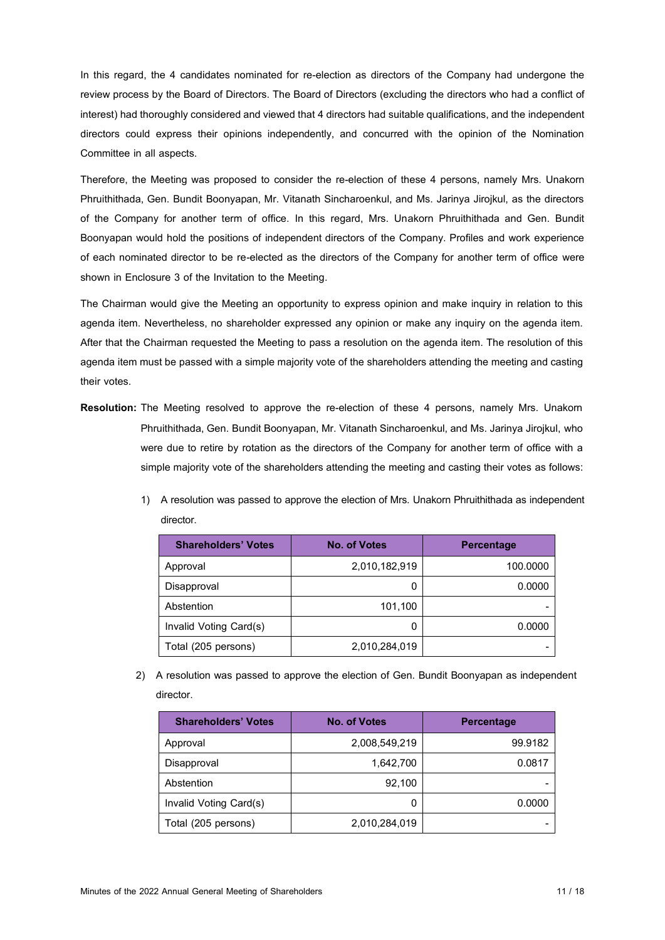In this regard, the 4 candidates nominated for re-election as directors of the Company had undergone the review process by the Board of Directors. The Board of Directors (excluding the directors who had a conflict of interest) had thoroughly considered and viewed that 4 directors had suitable qualifications, and the independent directors could express their opinions independently, and concurred with the opinion of the Nomination Committee in all aspects.

Therefore, the Meeting was proposed to consider the re-election of these 4 persons, namely Mrs. Unakorn Phruithithada, Gen. Bundit Boonyapan, Mr. Vitanath Sincharoenkul, and Ms. Jarinya Jirojkul, as the directors of the Company for another term of office. In this regard, Mrs. Unakorn Phruithithada and Gen. Bundit Boonyapan would hold the positions of independent directors of the Company. Profiles and work experience of each nominated director to be re-elected as the directors of the Company for another term of office were shown in Enclosure 3 of the Invitation to the Meeting.

The Chairman would give the Meeting an opportunity to express opinion and make inquiry in relation to this agenda item. Nevertheless, no shareholder expressed any opinion or make any inquiry on the agenda item. After that the Chairman requested the Meeting to pass a resolution on the agenda item. The resolution of this agenda item must be passed with a simple majority vote of the shareholders attending the meeting and casting their votes.

- **Resolution:** The Meeting resolved to approve the re-election of these 4 persons, namely Mrs. Unakorn Phruithithada, Gen. Bundit Boonyapan, Mr. Vitanath Sincharoenkul, and Ms. Jarinya Jirojkul, who were due to retire by rotation as the directors of the Company for another term of office with a simple majority vote of the shareholders attending the meeting and casting their votes as follows:
	- 1) A resolution was passed to approve the election of Mrs. Unakorn Phruithithada as independent director.

| <b>Shareholders' Votes</b> | <b>No. of Votes</b> | <b>Percentage</b> |
|----------------------------|---------------------|-------------------|
| Approval                   | 2,010,182,919       | 100.0000          |
| Disapproval                |                     | 0.0000            |
| Abstention                 | 101,100             |                   |
| Invalid Voting Card(s)     | 0                   | 0.0000            |
| Total (205 persons)        | 2,010,284,019       |                   |

2) A resolution was passed to approve the election of Gen. Bundit Boonyapan as independent director.

| <b>Shareholders' Votes</b> | <b>No. of Votes</b> | <b>Percentage</b> |
|----------------------------|---------------------|-------------------|
| Approval                   | 2,008,549,219       | 99.9182           |
| Disapproval                | 1,642,700           | 0.0817            |
| Abstention                 | 92.100              |                   |
| Invalid Voting Card(s)     | 0                   | 0.0000            |
| Total (205 persons)        | 2,010,284,019       |                   |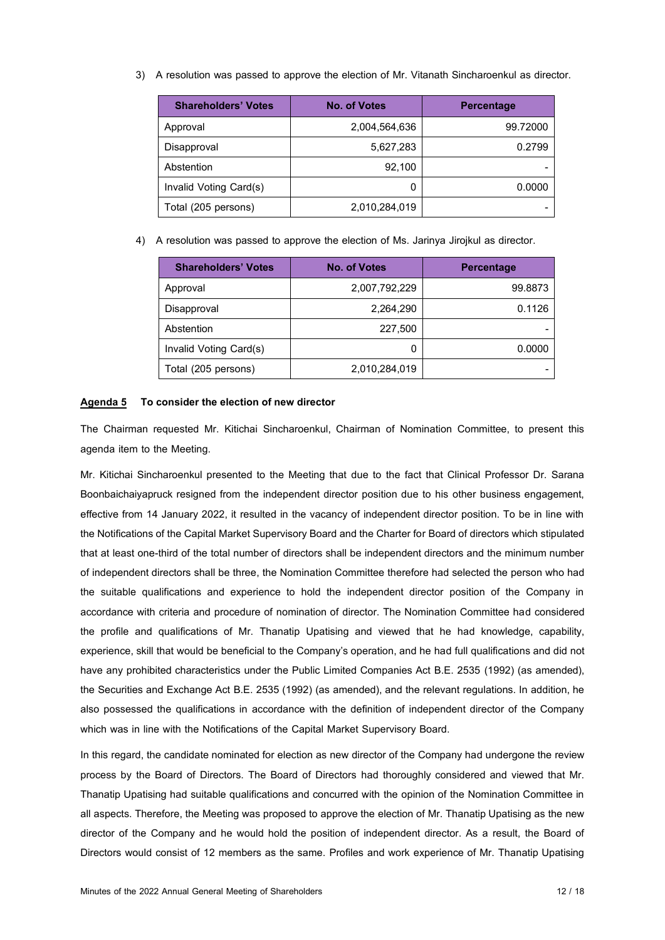3) A resolution was passed to approve the election of Mr. Vitanath Sincharoenkul as director.

| <b>Shareholders' Votes</b> | <b>No. of Votes</b> | <b>Percentage</b> |
|----------------------------|---------------------|-------------------|
| Approval                   | 2,004,564,636       | 99.72000          |
| Disapproval                | 5,627,283           | 0.2799            |
| Abstention                 | 92,100              |                   |
| Invalid Voting Card(s)     | 0                   | 0.0000            |
| Total (205 persons)        | 2,010,284,019       |                   |

4) A resolution was passed to approve the election of Ms. Jarinya Jirojkul as director.

| <b>Shareholders' Votes</b> | <b>No. of Votes</b> | <b>Percentage</b> |
|----------------------------|---------------------|-------------------|
| Approval                   | 2,007,792,229       | 99.8873           |
| Disapproval                | 2,264,290           | 0.1126            |
| Abstention                 | 227,500             |                   |
| Invalid Voting Card(s)     | 0                   | 0.0000            |
| Total (205 persons)        | 2,010,284,019       |                   |

#### **Agenda 5 To consider the election of new director**

 The Chairman requested Mr. Kitichai Sincharoenkul, Chairman of Nomination Committee, to present this agenda item to the Meeting.

Mr. Kitichai Sincharoenkul presented to the Meeting that due to the fact that Clinical Professor Dr. Sarana Boonbaichaiyapruck resigned from the independent director position due to his other business engagement, effective from 14 January 2022, it resulted in the vacancy of independent director position. To be in line with the Notifications of the Capital Market Supervisory Board and the Charter for Board of directors which stipulated that at least one-third of the total number of directors shall be independent directors and the minimum number of independent directors shall be three, the Nomination Committee therefore had selected the person who had the suitable qualifications and experience to hold the independent director position of the Company in accordance with criteria and procedure of nomination of director. The Nomination Committee had considered the profile and qualifications of Mr. Thanatip Upatising and viewed that he had knowledge, capability, experience, skill that would be beneficial to the Company's operation, and he had full qualifications and did not have any prohibited characteristics under the Public Limited Companies Act B.E. 2535 (1992) (as amended), the Securities and Exchange Act B.E. 2535 (1992) (as amended), and the relevant regulations. In addition, he also possessed the qualifications in accordance with the definition of independent director of the Company which was in line with the Notifications of the Capital Market Supervisory Board.

In this regard, the candidate nominated for election as new director of the Company had undergone the review process by the Board of Directors. The Board of Directors had thoroughly considered and viewed that Mr. Thanatip Upatising had suitable qualifications and concurred with the opinion of the Nomination Committee in all aspects. Therefore, the Meeting was proposed to approve the election of Mr. Thanatip Upatising as the new director of the Company and he would hold the position of independent director. As a result, the Board of Directors would consist of 12 members as the same. Profiles and work experience of Mr. Thanatip Upatising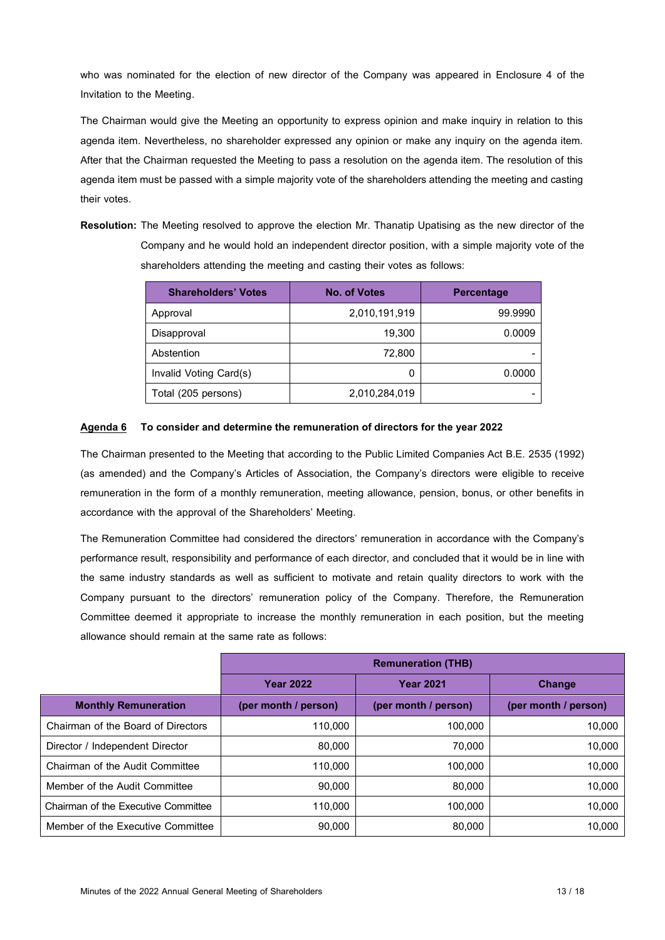who was nominated for the election of new director of the Company was appeared in Enclosure 4 of the Invitation to the Meeting.

The Chairman would give the Meeting an opportunity to express opinion and make inquiry in relation to this agenda item. Nevertheless, no shareholder expressed any opinion or make any inquiry on the agenda item. After that the Chairman requested the Meeting to pass a resolution on the agenda item. The resolution of this agenda item must be passed with a simple majority vote of the shareholders attending the meeting and casting their votes.

**Resolution:** The Meeting resolved to approve the election Mr. Thanatip Upatising as the new director of the Company and he would hold an independent director position, with a simple majority vote of the shareholders attending the meeting and casting their votes as follows:

| <b>Shareholders' Votes</b> | <b>No. of Votes</b> | <b>Percentage</b> |
|----------------------------|---------------------|-------------------|
| Approval                   | 2,010,191,919       | 99.9990           |
| Disapproval                | 19,300              | 0.0009            |
| Abstention                 | 72,800              |                   |
| Invalid Voting Card(s)     | 0                   | 0.0000            |
| Total (205 persons)        | 2,010,284,019       |                   |

### **Agenda 6 To consider and determine the remuneration of directors for the year 2022**

The Chairman presented to the Meeting that according to the Public Limited Companies Act B.E. 2535 (1992) (as amended) and the Company's Articles of Association, the Company's directors were eligible to receive remuneration in the form of a monthly remuneration, meeting allowance, pension, bonus, or other benefits in accordance with the approval of the Shareholders' Meeting.

The Remuneration Committee had considered the directors' remuneration in accordance with the Company's performance result, responsibility and performance of each director, and concluded that it would be in line with the same industry standards as well as sufficient to motivate and retain quality directors to work with the Company pursuant to the directors' remuneration policy of the Company. Therefore, the Remuneration Committee deemed it appropriate to increase the monthly remuneration in each position, but the meeting allowance should remain at the same rate as follows:

|                                     | <b>Remuneration (THB)</b> |                      |                      |
|-------------------------------------|---------------------------|----------------------|----------------------|
|                                     | <b>Year 2022</b>          | <b>Year 2021</b>     | <b>Change</b>        |
| <b>Monthly Remuneration</b>         | (per month / person)      | (per month / person) | (per month / person) |
| Chairman of the Board of Directors  | 110,000                   | 100,000              | 10,000               |
| Director / Independent Director     | 80,000                    | 70,000               | 10.000               |
| Chairman of the Audit Committee     | 110,000                   | 100,000              | 10.000               |
| Member of the Audit Committee       | 90,000                    | 80,000               | 10.000               |
| Chairman of the Executive Committee | 110,000                   | 100,000              | 10.000               |
| Member of the Executive Committee   | 90,000                    | 80,000               | 10.000               |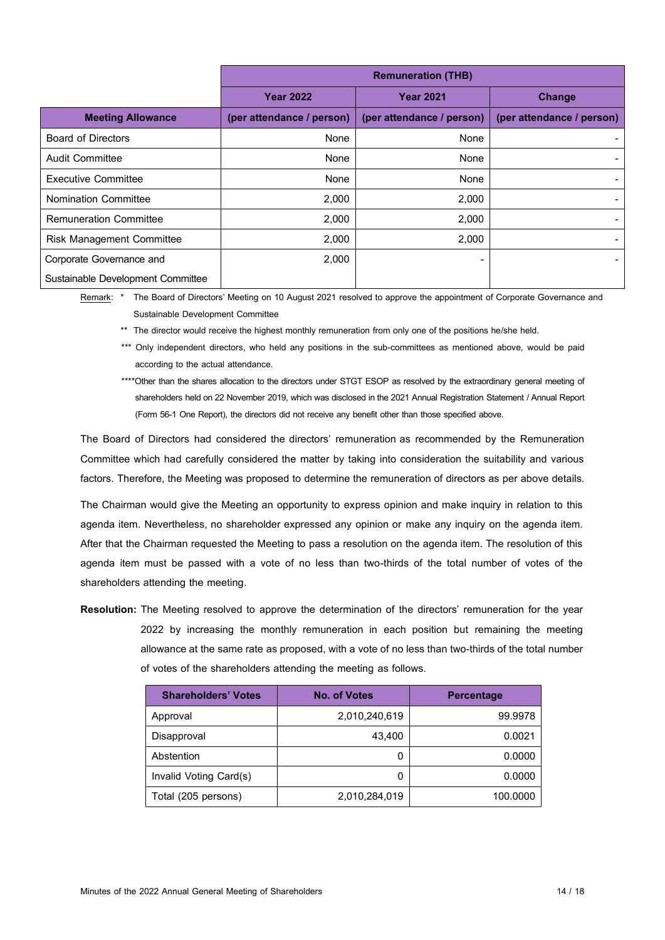|                                   | <b>Remuneration (THB)</b> |                           |                           |
|-----------------------------------|---------------------------|---------------------------|---------------------------|
|                                   | <b>Year 2022</b>          | <b>Year 2021</b>          | <b>Change</b>             |
| <b>Meeting Allowance</b>          | (per attendance / person) | (per attendance / person) | (per attendance / person) |
| <b>Board of Directors</b>         | None                      | None                      |                           |
| Audit Committee                   | None                      | None                      |                           |
| <b>Executive Committee</b>        | None                      | None                      |                           |
| <b>Nomination Committee</b>       | 2,000                     | 2,000                     |                           |
| <b>Remuneration Committee</b>     | 2,000                     | 2,000                     |                           |
| <b>Risk Management Committee</b>  | 2,000                     | 2,000                     |                           |
| Corporate Governance and          | 2,000                     |                           |                           |
| Sustainable Development Committee |                           |                           |                           |

Remark: \* The Board of Directors' Meeting on 10 August 2021 resolved to approve the appointment of Corporate Governance and Sustainable Development Committee

\*\* The director would receive the highest monthly remuneration from only one of the positions he/she held.

\*\*\* Only independent directors, who held any positions in the sub-committees as mentioned above, would be paid according to the actual attendance.

\*\*\*\*Other than the shares allocation to the directors under STGT ESOP as resolved by the extraordinary general meeting of shareholders held on 22 November 2019, which was disclosed in the 2021 Annual Registration Statement / Annual Report (Form 56-1 One Report), the directors did not receive any benefit other than those specified above.

The Board of Directors had considered the directors' remuneration as recommended by the Remuneration Committee which had carefully considered the matter by taking into consideration the suitability and various factors. Therefore, the Meeting was proposed to determine the remuneration of directors as per above details.

The Chairman would give the Meeting an opportunity to express opinion and make inquiry in relation to this agenda item. Nevertheless, no shareholder expressed any opinion or make any inquiry on the agenda item. After that the Chairman requested the Meeting to pass a resolution on the agenda item. The resolution of this agenda item must be passed with a vote of no less than two-thirds of the total number of votes of the shareholders attending the meeting.

**Resolution:** The Meeting resolved to approve the determination of the directors' remuneration for the year 2022 by increasing the monthly remuneration in each position but remaining the meeting allowance at the same rate as proposed, with a vote of no less than two-thirds of the total number of votes of the shareholders attending the meeting as follows.

| <b>Shareholders' Votes</b> | <b>No. of Votes</b> | <b>Percentage</b> |
|----------------------------|---------------------|-------------------|
| Approval                   | 2,010,240,619       | 99.9978           |
| Disapproval                | 43.400              | 0.0021            |
| Abstention                 | 0                   | 0.0000            |
| Invalid Voting Card(s)     | 0                   | 0.0000            |
| Total (205 persons)        | 2,010,284,019       | 100.0000          |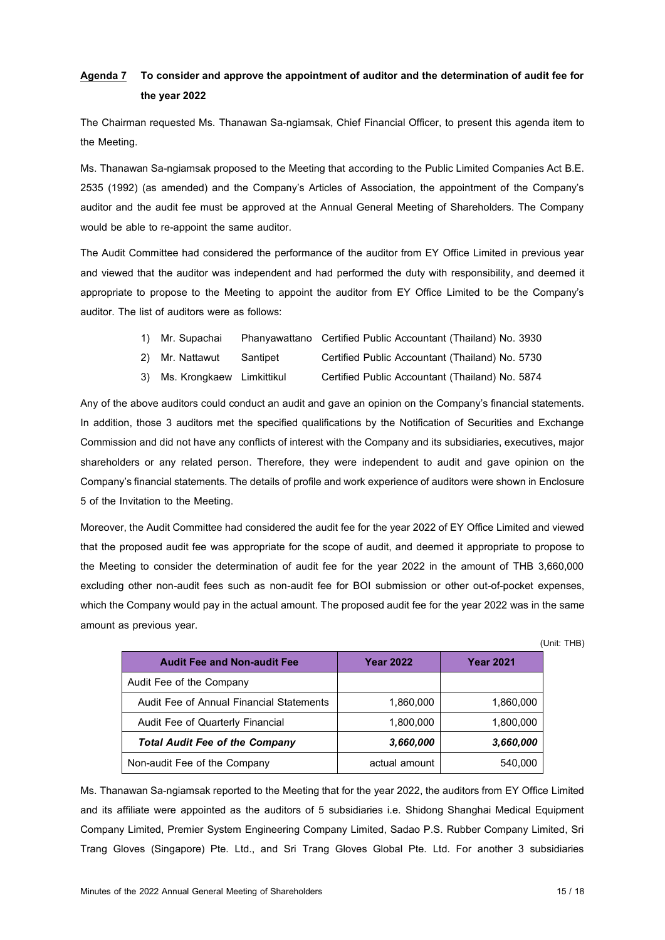# **Agenda 7 To consider and approve the appointment of auditor and the determination of audit fee for the year 2022**

The Chairman requested Ms. Thanawan Sa-ngiamsak, Chief Financial Officer, to present this agenda item to the Meeting.

Ms. Thanawan Sa-ngiamsak proposed to the Meeting that according to the Public Limited Companies Act B.E. 2535 (1992) (as amended) and the Company's Articles of Association, the appointment of the Company's auditor and the audit fee must be approved at the Annual General Meeting of Shareholders. The Company would be able to re-appoint the same auditor.

The Audit Committee had considered the performance of the auditor from EY Office Limited in previous year and viewed that the auditor was independent and had performed the duty with responsibility, and deemed it appropriate to propose to the Meeting to appoint the auditor from EY Office Limited to be the Company's auditor. The list of auditors were as follows:

| 1) Mr. Supachai Phanyawattano Certified Public Accountant (Thailand) No. 3930 |  |
|-------------------------------------------------------------------------------|--|
|-------------------------------------------------------------------------------|--|

- 2) Mr. Nattawut Santipet Certified Public Accountant (Thailand) No. 5730
- 3) Ms. Krongkaew Limkittikul Certified Public Accountant (Thailand) No. 5874

Any of the above auditors could conduct an audit and gave an opinion on the Company's financial statements. In addition, those 3 auditors met the specified qualifications by the Notification of Securities and Exchange Commission and did not have any conflicts of interest with the Company and its subsidiaries, executives, major shareholders or any related person. Therefore, they were independent to audit and gave opinion on the Company's financial statements. The details of profile and work experience of auditors were shown in Enclosure 5 of the Invitation to the Meeting.

Moreover, the Audit Committee had considered the audit fee for the year 2022 of EY Office Limited and viewed that the proposed audit fee was appropriate for the scope of audit, and deemed it appropriate to propose to the Meeting to consider the determination of audit fee for the year 2022 in the amount of THB 3,660,000 excluding other non-audit fees such as non-audit fee for BOI submission or other out-of-pocket expenses, which the Company would pay in the actual amount. The proposed audit fee for the year 2022 was in the same amount as previous year.

(Unit: THB)

| <b>Audit Fee and Non-audit Fee</b>       | <b>Year 2022</b> | <b>Year 2021</b> |
|------------------------------------------|------------------|------------------|
| Audit Fee of the Company                 |                  |                  |
| Audit Fee of Annual Financial Statements | 1,860,000        | 1,860,000        |
| Audit Fee of Quarterly Financial         | 1,800,000        | 1,800,000        |
| <b>Total Audit Fee of the Company</b>    | 3,660,000        | 3,660,000        |
| Non-audit Fee of the Company             | actual amount    | 540,000          |

Ms. Thanawan Sa-ngiamsak reported to the Meeting that for the year 2022, the auditors from EY Office Limited and its affiliate were appointed as the auditors of 5 subsidiaries i.e. Shidong Shanghai Medical Equipment Company Limited, Premier System Engineering Company Limited, Sadao P.S. Rubber Company Limited, Sri Trang Gloves (Singapore) Pte. Ltd., and Sri Trang Gloves Global Pte. Ltd. For another 3 subsidiaries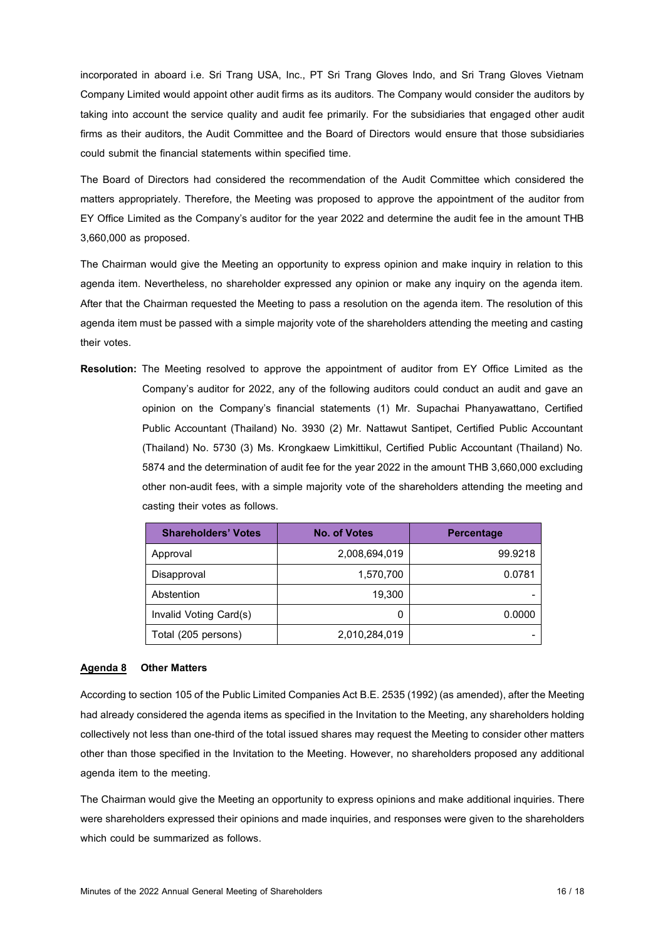incorporated in aboard i.e. Sri Trang USA, Inc., PT Sri Trang Gloves Indo, and Sri Trang Gloves Vietnam Company Limited would appoint other audit firms as its auditors. The Company would consider the auditors by taking into account the service quality and audit fee primarily. For the subsidiaries that engaged other audit firms as their auditors, the Audit Committee and the Board of Directors would ensure that those subsidiaries could submit the financial statements within specified time.

The Board of Directors had considered the recommendation of the Audit Committee which considered the matters appropriately. Therefore, the Meeting was proposed to approve the appointment of the auditor from EY Office Limited as the Company's auditor for the year 2022 and determine the audit fee in the amount THB 3,660,000 as proposed.

The Chairman would give the Meeting an opportunity to express opinion and make inquiry in relation to this agenda item. Nevertheless, no shareholder expressed any opinion or make any inquiry on the agenda item. After that the Chairman requested the Meeting to pass a resolution on the agenda item. The resolution of this agenda item must be passed with a simple majority vote of the shareholders attending the meeting and casting their votes.

**Resolution:** The Meeting resolved to approve the appointment of auditor from EY Office Limited as the Company's auditor for 2022, any of the following auditors could conduct an audit and gave an opinion on the Company's financial statements (1) Mr. Supachai Phanyawattano, Certified Public Accountant (Thailand) No. 3930 (2) Mr. Nattawut Santipet, Certified Public Accountant (Thailand) No. 5730 (3) Ms. Krongkaew Limkittikul, Certified Public Accountant (Thailand) No. 5874 and the determination of audit fee for the year 2022 in the amount THB 3,660,000 excluding other non-audit fees, with a simple majority vote of the shareholders attending the meeting and casting their votes as follows.

| <b>Shareholders' Votes</b> | <b>No. of Votes</b> | <b>Percentage</b> |
|----------------------------|---------------------|-------------------|
| Approval                   | 2,008,694,019       | 99.9218           |
| Disapproval                | 1,570,700           | 0.0781            |
| Abstention                 | 19.300              |                   |
| Invalid Voting Card(s)     | 0                   | 0.0000            |
| Total (205 persons)        | 2,010,284,019       |                   |

### **Agenda 8 Other Matters**

According to section 105 of the Public Limited Companies Act B.E. 2535 (1992) (as amended), after the Meeting had already considered the agenda items as specified in the Invitation to the Meeting, any shareholders holding collectively not less than one-third of the total issued shares may request the Meeting to consider other matters other than those specified in the Invitation to the Meeting. However, no shareholders proposed any additional agenda item to the meeting.

The Chairman would give the Meeting an opportunity to express opinions and make additional inquiries. There were shareholders expressed their opinions and made inquiries, and responses were given to the shareholders which could be summarized as follows.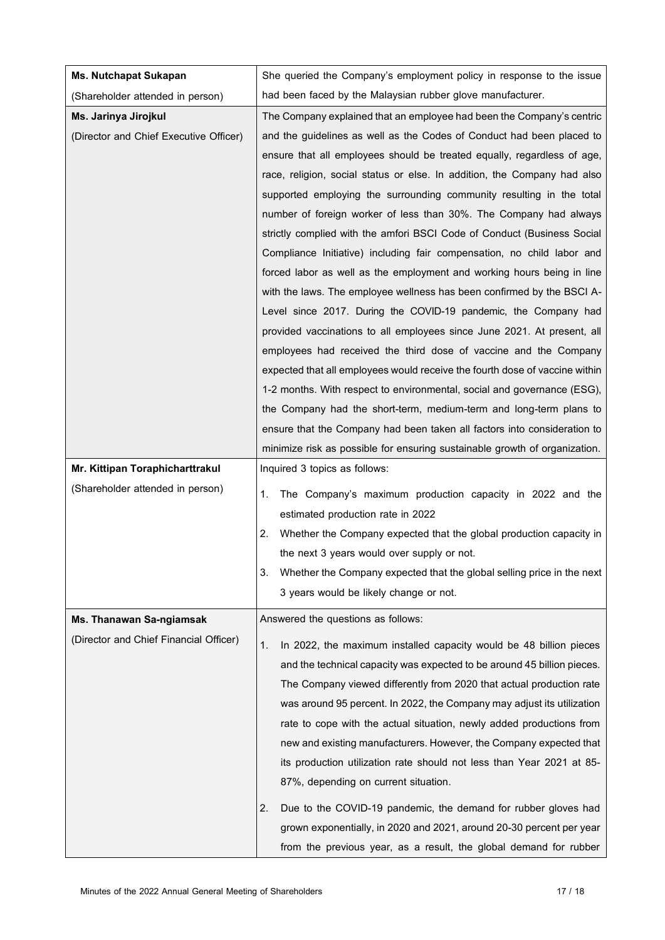| <b>Ms. Nutchapat Sukapan</b>           | She queried the Company's employment policy in response to the issue                                                                                                                                                                                                                                                                                                                                                                                                                                                                                                                                                                                                                                                                                                                                                                                                                                                                                                                                                                                                                                                                                                                                             |  |
|----------------------------------------|------------------------------------------------------------------------------------------------------------------------------------------------------------------------------------------------------------------------------------------------------------------------------------------------------------------------------------------------------------------------------------------------------------------------------------------------------------------------------------------------------------------------------------------------------------------------------------------------------------------------------------------------------------------------------------------------------------------------------------------------------------------------------------------------------------------------------------------------------------------------------------------------------------------------------------------------------------------------------------------------------------------------------------------------------------------------------------------------------------------------------------------------------------------------------------------------------------------|--|
| (Shareholder attended in person)       | had been faced by the Malaysian rubber glove manufacturer.                                                                                                                                                                                                                                                                                                                                                                                                                                                                                                                                                                                                                                                                                                                                                                                                                                                                                                                                                                                                                                                                                                                                                       |  |
| Ms. Jarinya Jirojkul                   | The Company explained that an employee had been the Company's centric                                                                                                                                                                                                                                                                                                                                                                                                                                                                                                                                                                                                                                                                                                                                                                                                                                                                                                                                                                                                                                                                                                                                            |  |
| (Director and Chief Executive Officer) | and the guidelines as well as the Codes of Conduct had been placed to<br>ensure that all employees should be treated equally, regardless of age,<br>race, religion, social status or else. In addition, the Company had also<br>supported employing the surrounding community resulting in the total<br>number of foreign worker of less than 30%. The Company had always<br>strictly complied with the amfori BSCI Code of Conduct (Business Social<br>Compliance Initiative) including fair compensation, no child labor and<br>forced labor as well as the employment and working hours being in line<br>with the laws. The employee wellness has been confirmed by the BSCI A-<br>Level since 2017. During the COVID-19 pandemic, the Company had<br>provided vaccinations to all employees since June 2021. At present, all<br>employees had received the third dose of vaccine and the Company<br>expected that all employees would receive the fourth dose of vaccine within<br>1-2 months. With respect to environmental, social and governance (ESG),<br>the Company had the short-term, medium-term and long-term plans to<br>ensure that the Company had been taken all factors into consideration to |  |
|                                        | minimize risk as possible for ensuring sustainable growth of organization.                                                                                                                                                                                                                                                                                                                                                                                                                                                                                                                                                                                                                                                                                                                                                                                                                                                                                                                                                                                                                                                                                                                                       |  |
| Mr. Kittipan Toraphicharttrakul        | Inquired 3 topics as follows:                                                                                                                                                                                                                                                                                                                                                                                                                                                                                                                                                                                                                                                                                                                                                                                                                                                                                                                                                                                                                                                                                                                                                                                    |  |
| (Shareholder attended in person)       | The Company's maximum production capacity in 2022 and the<br>1.<br>estimated production rate in 2022<br>2.<br>Whether the Company expected that the global production capacity in<br>the next 3 years would over supply or not.<br>3.<br>Whether the Company expected that the global selling price in the next<br>3 years would be likely change or not.                                                                                                                                                                                                                                                                                                                                                                                                                                                                                                                                                                                                                                                                                                                                                                                                                                                        |  |
| Ms. Thanawan Sa-ngiamsak               | Answered the questions as follows:                                                                                                                                                                                                                                                                                                                                                                                                                                                                                                                                                                                                                                                                                                                                                                                                                                                                                                                                                                                                                                                                                                                                                                               |  |
| (Director and Chief Financial Officer) | In 2022, the maximum installed capacity would be 48 billion pieces<br>1.<br>and the technical capacity was expected to be around 45 billion pieces.<br>The Company viewed differently from 2020 that actual production rate<br>was around 95 percent. In 2022, the Company may adjust its utilization<br>rate to cope with the actual situation, newly added productions from<br>new and existing manufacturers. However, the Company expected that<br>its production utilization rate should not less than Year 2021 at 85-<br>87%, depending on current situation.<br>2.<br>Due to the COVID-19 pandemic, the demand for rubber gloves had<br>grown exponentially, in 2020 and 2021, around 20-30 percent per year<br>from the previous year, as a result, the global demand for rubber                                                                                                                                                                                                                                                                                                                                                                                                                        |  |